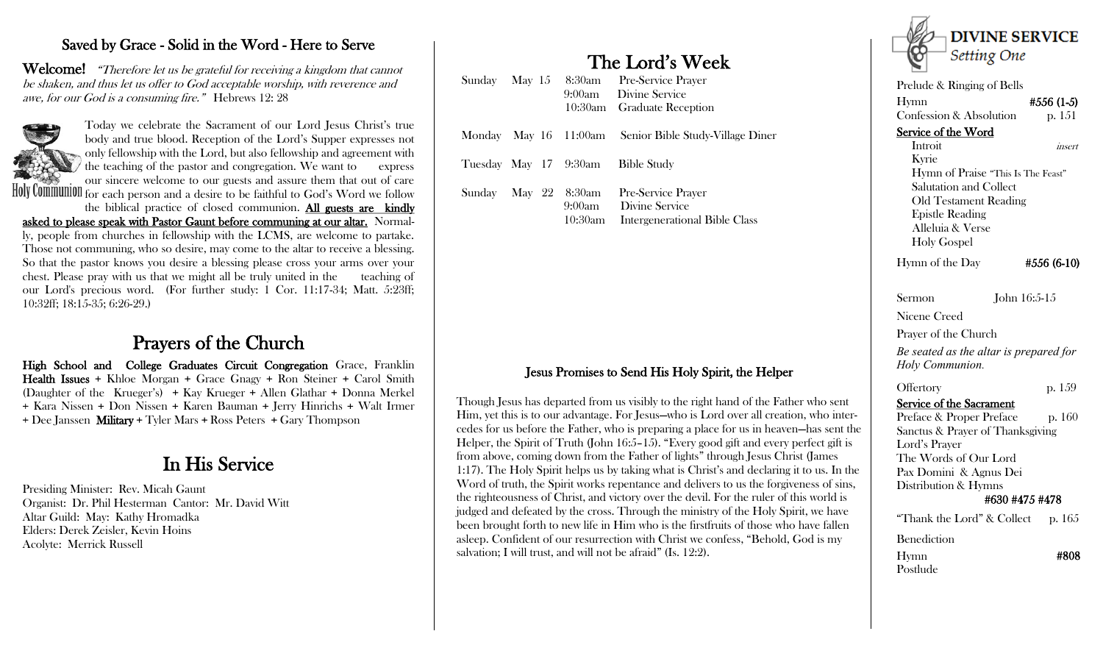### Saved by Grace - Solid in the Word - Here to Serve

Welcome! "Therefore let us be grateful for receiving a kingdom that cannot be shaken, and thus let us offer to God acceptable worship, with reverence and awe, for our God is a consuming fire." Hebrews 12: 28



Today we celebrate the Sacrament of our Lord Jesus Christ's true body and true blood. Reception of the Lord's Supper expresses not only fellowship with the Lord, but also fellowship and agreement with the teaching of the pastor and congregation. We want to express our sincere welcome to our guests and assure them that out of care Holy Communion for each person and a desire to be faithful to God's Word we follow

the biblical practice of closed communion. All guests are kindly asked to please speak with Pastor Gaunt before communing at our altar. Normally, people from churches in fellowship with the LCMS, are welcome to partake. Those not communing, who so desire, may come to the altar to receive a blessing. So that the pastor knows you desire a blessing please cross your arms over your chest. Please pray with us that we might all be truly united in the teaching of our Lord's precious word. (For further study: 1 Cor. 11:17-34; Matt. 5:23ff; 10:32ff; 18:15-35; 6:26-29.)

## Prayers of the Church

High School and College Graduates Circuit Congregation Grace, Franklin Health Issues + Khloe Morgan + Grace Gnagy + Ron Steiner + Carol Smith (Daughter of the Krueger's) + Kay Krueger + Allen Glathar + Donna Merkel + Kara Nissen + Don Nissen + Karen Bauman + Jerry Hinrichs + Walt Irmer + Dee Janssen Military + Tyler Mars + Ross Peters + Gary Thompson

## In His Service

Presiding Minister: Rev. Micah Gaunt Organist: Dr. Phil Hesterman Cantor: Mr. David Witt Altar Guild: May: Kathy Hromadka Elders: Derek Zeisler, Kevin Hoins Acolyte: Merrick Russell

# The Lord's Week

|        | Sunday May 15 |                       | 8:30am Pre-Service Prayer<br>9:00am Divine Service<br>10:30am Graduate Reception |
|--------|---------------|-----------------------|----------------------------------------------------------------------------------|
|        |               |                       | Monday May 16 11:00am Senior Bible Study-Village Diner                           |
|        |               | Tuesday May 17 9:30am | <b>Bible Study</b>                                                               |
| Sunday | May 22        | 8:30am<br>10:30am     | Pre-Service Prayer<br>9:00am Divine Service<br>Intergenerational Bible Class     |

#### Jesus Promises to Send His Holy Spirit, the Helper

Though Jesus has departed from us visibly to the right hand of the Father who sent Him, yet this is to our advantage. For Jesus—who is Lord over all creation, who intercedes for us before the Father, who is preparing a place for us in heaven—has sent the Helper, the Spirit of Truth (John 16:5–15). "Every good gift and every perfect gift is from above, coming down from the Father of lights" through Jesus Christ (James 1:17). The Holy Spirit helps us by taking what is Christ's and declaring it to us. In the Word of truth, the Spirit works repentance and delivers to us the forgiveness of sins, the righteousness of Christ, and victory over the devil. For the ruler of this world is judged and defeated by the cross. Through the ministry of the Holy Spirit, we have been brought forth to new life in Him who is the firstfruits of those who have fallen asleep. Confident of our resurrection with Christ we confess, "Behold, God is my salvation; I will trust, and will not be afraid" (Is. 12:2).



Service of the Word Introit *insert*  Kyrie Hymn of Praise "This Is The Feast" Salutation and Collect Old Testament Reading Epistle Reading Alleluia & Verse Holy Gospel

Hymn of the Day  $#556(6-10)$ 

Sermon John 16:5-15

Nicene Creed

Prayer of the Church

*Be seated as the altar is prepared for Holy Communion.*

#### Offertory p. 159

Service of the Sacrament

Preface & Proper Preface p. 160 Sanctus & Prayer of Thanksgiving Lord's Prayer The Words of Our Lord Pax Domini & Agnus Dei Distribution & Hymns #630 #475 #478 "Thank the Lord"  $\&$  Collect p. 165

Benediction

Postlude

Hymn #808